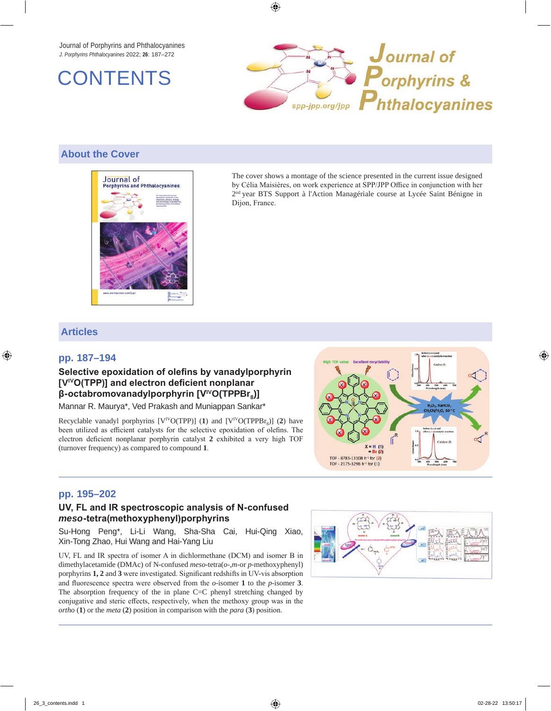Journal of Porphyrins and Phthalocyanines *J. Porphyrins Phthalocyanines* 2022; **26**: 187–272





## **About the Cover**



The cover shows a montage of the science presented in the current issue designed by Célia Maisières, on work experience at SPP/JPP Office in conjunction with her 2nd year BTS Support à l'Action Managériale course at Lycée Saint Bénigne in Dijon, France.

# **Articles**

### **pp. 187–194**

### **Selective epoxidation of olefins by vanadylporphyrin [VIVO(TPP)] and electron deficient nonplanar β-octabromovanadylporphyrin [VIVO(TPPBr8)]**

Mannar R. Maurya\*, Ved Prakash and Muniappan Sankar\*

Recyclable vanadyl porphyrins  $[V^{IV}O(TPP)]$  (1) and  $[V^{IV}O(TPPBr_{0})]$  (2) have been utilized as efficient catalysts for the selective epoxidation of olefins. The electron deficient nonplanar porphyrin catalyst **2** exhibited a very high TOF (turnover frequency) as compared to compound **1**.



### **pp. 195–202**

#### **UV, FL and IR spectroscopic analysis of N-confused**  *meso***-tetra(methoxyphenyl)porphyrins**

Su-Hong Peng\*, Li-Li Wang, Sha-Sha Cai, Hui-Qing Xiao, Xin-Tong Zhao, Hui Wang and Hai-Yang Liu

UV, FL and IR spectra of isomer A in dichlormethane (DCM) and isomer B in dimethylacetamide (DMAc) of N-confused *meso*-tetra(*o*-,*m*-or *p*-methoxyphenyl) porphyrins **1, 2** and **3** were investigated. Significant redshifts in UV-vis absorption and fluorescence spectra were observed from the *o*-isomer **1** to the *p*-isomer **3**. The absorption frequency of the in plane C=C phenyl stretching changed by conjugative and steric effects, respectively, when the methoxy group was in the *ortho* (**1**) or the *meta* (**2**) position in comparison with the *para* (**3**) position.

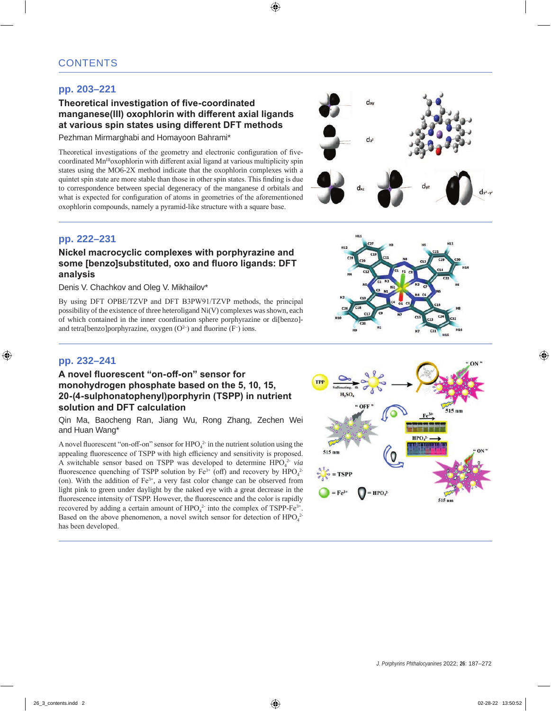# **pp. 203–221**

### **Theoretical investigation of five-coordinated manganese(III) oxophlorin with different axial ligands at various spin states using different DFT methods**

Pezhman Mirmarghabi and Homayoon Bahrami\*

Theoretical investigations of the geometry and electronic configuration of fivecoordinated Mn<sup>III</sup>oxophlorin with different axial ligand at various multiplicity spin states using the MO6-2X method indicate that the oxophlorin complexes with a quintet spin state are more stable than those in other spin states. This finding is due to correspondence between special degeneracy of the manganese d orbitals and what is expected for configuration of atoms in geometries of the aforementioned oxophlorin compounds, namely a pyramid-like structure with a square base.



### **pp. 222–231**

### **Nickel macrocyclic complexes with porphyrazine and some [benzo]substituted, oxo and fluoro ligands: DFT analysis**

Denis V. Chachkov and Oleg V. Mikhailov\*

By using DFT OPBE/TZVP and DFT B3PW91/TZVP methods, the principal possibility of the existence of three heteroligand Ni(V) complexes was shown, each of which contained in the inner coordination sphere porphyrazine or di[benzo] and tetra[benzo]porphyrazine, oxygen  $(O<sup>2</sup>)$  and fluorine  $(F<sup>-</sup>)$  ions.



### **pp. 232–241**

### **A novel fluorescent "on-off-on" sensor for monohydrogen phosphate based on the 5, 10, 15, 20-(4-sulphonatophenyl)porphyrin (TSPP) in nutrient solution and DFT calculation**

Qin Ma, Baocheng Ran, Jiang Wu, Rong Zhang, Zechen Wei and Huan Wang\*

A novel fluorescent "on-off-on" sensor for  $HPO_4^2$  in the nutrient solution using the appealing fluorescence of TSPP with high efficiency and sensitivity is proposed. A switchable sensor based on TSPP was developed to determine HPO<sub>4</sub><sup>2</sup> *via* fluorescence quenching of TSPP solution by  $Fe^{3+}$  (off) and recovery by  $HPO_4^2$ (on). With the addition of  $Fe^{3+}$ , a very fast color change can be observed from light pink to green under daylight by the naked eye with a great decrease in the fluorescence intensity of TSPP. However, the fluorescence and the color is rapidly recovered by adding a certain amount of  $HPO_4^2$  into the complex of TSPP-Fe<sup>3+</sup>. Based on the above phenomenon, a novel switch sensor for detection of  $HPO_4^2$ has been developed.